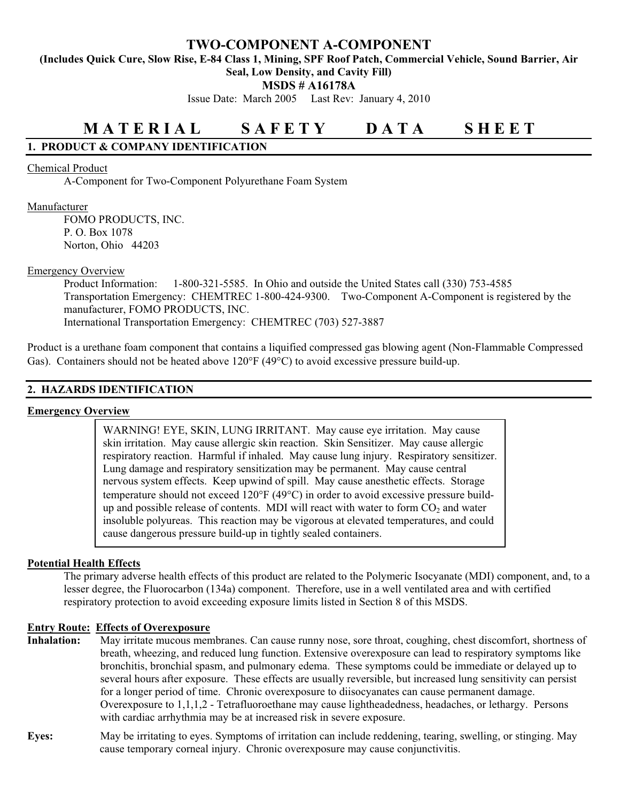# **TWO-COMPONENT A-COMPONENT**

**(Includes Quick Cure, Slow Rise, E-84 Class 1, Mining, SPF Roof Patch, Commercial Vehicle, Sound Barrier, Air** 

**Seal, Low Density, and Cavity Fill)** 

**MSDS # A16178A** 

Issue Date: March 2005 Last Rev: January 4, 2010

# **M A T E R I A L S A F E T Y D A T A S H E E T**

# **1. PRODUCT & COMPANY IDENTIFICATION**

## Chemical Product

A-Component for Two-Component Polyurethane Foam System

## Manufacturer

 FOMO PRODUCTS, INC. P. O. Box 1078 Norton, Ohio 44203

## Emergency Overview

 Product Information: 1-800-321-5585. In Ohio and outside the United States call (330) 753-4585 Transportation Emergency: CHEMTREC 1-800-424-9300. Two-Component A-Component is registered by the manufacturer, FOMO PRODUCTS, INC. International Transportation Emergency: CHEMTREC (703) 527-3887

Product is a urethane foam component that contains a liquified compressed gas blowing agent (Non-Flammable Compressed Gas). Containers should not be heated above  $120^{\circ}F (49^{\circ}C)$  to avoid excessive pressure build-up.

## **2. HAZARDS IDENTIFICATION**

## **Emergency Overview**

WARNING! EYE, SKIN, LUNG IRRITANT. May cause eye irritation. May cause skin irritation. May cause allergic skin reaction. Skin Sensitizer. May cause allergic respiratory reaction. Harmful if inhaled. May cause lung injury. Respiratory sensitizer. Lung damage and respiratory sensitization may be permanent. May cause central nervous system effects. Keep upwind of spill. May cause anesthetic effects. Storage temperature should not exceed  $120^{\circ}F(49^{\circ}C)$  in order to avoid excessive pressure buildup and possible release of contents. MDI will react with water to form  $CO<sub>2</sub>$  and water insoluble polyureas. This reaction may be vigorous at elevated temperatures, and could cause dangerous pressure build-up in tightly sealed containers.

## **Potential Health Effects**

The primary adverse health effects of this product are related to the Polymeric Isocyanate (MDI) component, and, to a lesser degree, the Fluorocarbon (134a) component. Therefore, use in a well ventilated area and with certified respiratory protection to avoid exceeding exposure limits listed in Section 8 of this MSDS.

## **Entry Route: Effects of Overexposure**

**Inhalation:** May irritate mucous membranes. Can cause runny nose, sore throat, coughing, chest discomfort, shortness of breath, wheezing, and reduced lung function. Extensive overexposure can lead to respiratory symptoms like bronchitis, bronchial spasm, and pulmonary edema. These symptoms could be immediate or delayed up to several hours after exposure. These effects are usually reversible, but increased lung sensitivity can persist for a longer period of time. Chronic overexposure to diisocyanates can cause permanent damage. Overexposure to 1,1,1,2 - Tetrafluoroethane may cause lightheadedness, headaches, or lethargy. Persons with cardiac arrhythmia may be at increased risk in severe exposure.

## **Eyes:** May be irritating to eyes. Symptoms of irritation can include reddening, tearing, swelling, or stinging. May cause temporary corneal injury. Chronic overexposure may cause conjunctivitis.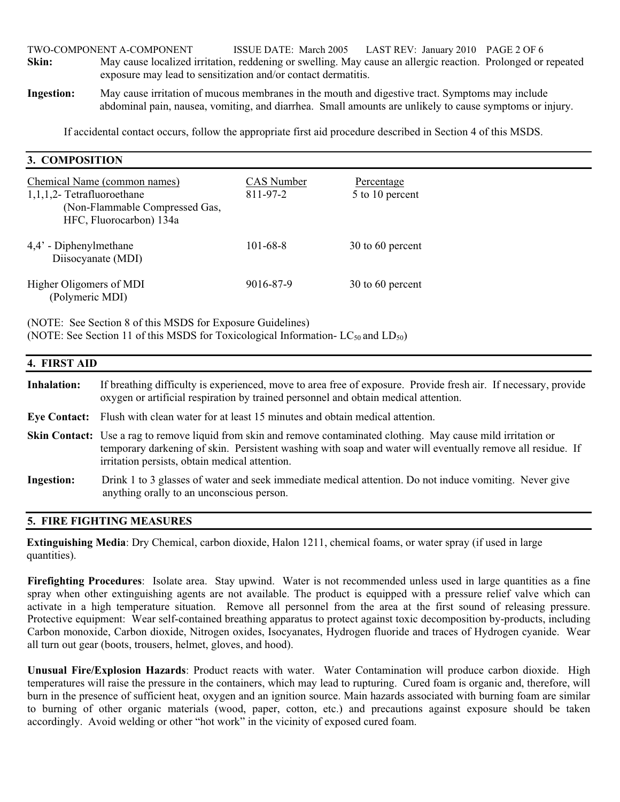TWO-COMPONENT A-COMPONENT ISSUE DATE: March 2005 LAST REV: January 2010 PAGE 2 OF 6 **Skin:** May cause localized irritation, reddening or swelling. May cause an allergic reaction. Prolonged or repeated exposure may lead to sensitization and/or contact dermatitis.

**Ingestion:** May cause irritation of mucous membranes in the mouth and digestive tract. Symptoms may include abdominal pain, nausea, vomiting, and diarrhea. Small amounts are unlikely to cause symptoms or injury.

If accidental contact occurs, follow the appropriate first aid procedure described in Section 4 of this MSDS.

| 3. COMPOSITION                                                                                                             |                        |                               |
|----------------------------------------------------------------------------------------------------------------------------|------------------------|-------------------------------|
| Chemical Name (common names)<br>$1,1,1,2$ - Tetrafluoroethane<br>(Non-Flammable Compressed Gas,<br>HFC, Fluorocarbon) 134a | CAS Number<br>811-97-2 | Percentage<br>5 to 10 percent |
| 4,4' - Diphenylmethane<br>Diisocyanate (MDI)                                                                               | $101 - 68 - 8$         | 30 to 60 percent              |
| Higher Oligomers of MDI<br>(Polymeric MDI)                                                                                 | 9016-87-9              | 30 to 60 percent              |

(NOTE: See Section 8 of this MSDS for Exposure Guidelines) (NOTE: See Section 11 of this MSDS for Toxicological Information-  $LC_{50}$  and  $LD_{50}$ )

| 4. FIRST AID      |                                                                                                                                                                                                                                                                                          |  |
|-------------------|------------------------------------------------------------------------------------------------------------------------------------------------------------------------------------------------------------------------------------------------------------------------------------------|--|
| Inhalation:       | If breathing difficulty is experienced, move to area free of exposure. Provide fresh air. If necessary, provide<br>oxygen or artificial respiration by trained personnel and obtain medical attention.                                                                                   |  |
|                   | Eye Contact: Flush with clean water for at least 15 minutes and obtain medical attention.                                                                                                                                                                                                |  |
|                   | <b>Skin Contact:</b> Use a rag to remove liquid from skin and remove contaminated clothing. May cause mild irritation or<br>temporary darkening of skin. Persistent washing with soap and water will eventually remove all residue. If<br>irritation persists, obtain medical attention. |  |
| <b>Ingestion:</b> | Drink 1 to 3 glasses of water and seek immediate medical attention. Do not induce vomiting. Never give<br>anything orally to an unconscious person.                                                                                                                                      |  |

## **5. FIRE FIGHTING MEASURES**

**3. COMPOSITION**

**Extinguishing Media**: Dry Chemical, carbon dioxide, Halon 1211, chemical foams, or water spray (if used in large quantities).

**Firefighting Procedures**: Isolate area. Stay upwind. Water is not recommended unless used in large quantities as a fine spray when other extinguishing agents are not available. The product is equipped with a pressure relief valve which can activate in a high temperature situation. Remove all personnel from the area at the first sound of releasing pressure. Protective equipment: Wear self-contained breathing apparatus to protect against toxic decomposition by-products, including Carbon monoxide, Carbon dioxide, Nitrogen oxides, Isocyanates, Hydrogen fluoride and traces of Hydrogen cyanide. Wear all turn out gear (boots, trousers, helmet, gloves, and hood).

**Unusual Fire/Explosion Hazards**: Product reacts with water. Water Contamination will produce carbon dioxide. High temperatures will raise the pressure in the containers, which may lead to rupturing. Cured foam is organic and, therefore, will burn in the presence of sufficient heat, oxygen and an ignition source. Main hazards associated with burning foam are similar to burning of other organic materials (wood, paper, cotton, etc.) and precautions against exposure should be taken accordingly. Avoid welding or other "hot work" in the vicinity of exposed cured foam.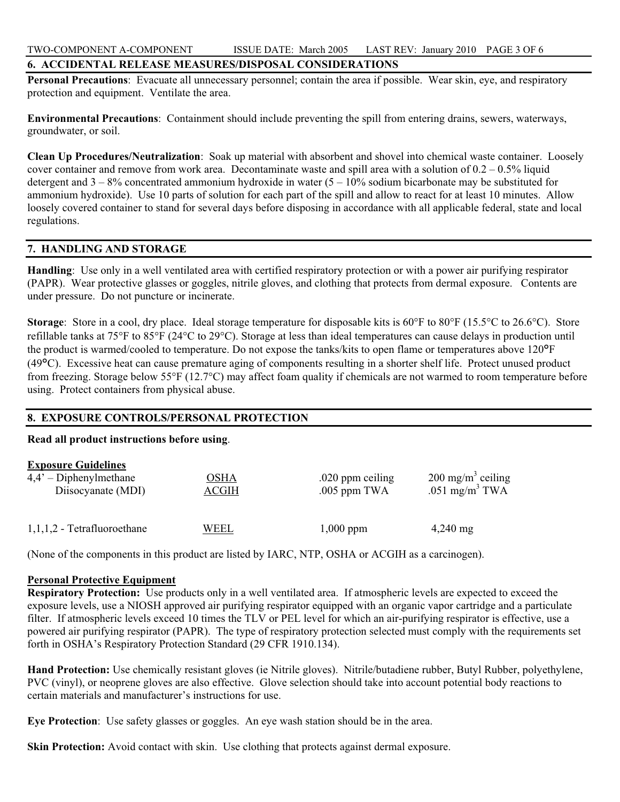## **6. ACCIDENTAL RELEASE MEASURES/DISPOSAL CONSIDERATIONS**

**Personal Precautions**: Evacuate all unnecessary personnel; contain the area if possible. Wear skin, eye, and respiratory protection and equipment. Ventilate the area.

**Environmental Precautions**: Containment should include preventing the spill from entering drains, sewers, waterways, groundwater, or soil.

**Clean Up Procedures/Neutralization**: Soak up material with absorbent and shovel into chemical waste container. Loosely cover container and remove from work area. Decontaminate waste and spill area with a solution of  $0.2 - 0.5\%$  liquid detergent and  $3 - 8%$  concentrated ammonium hydroxide in water  $(5 - 10%$  sodium bicarbonate may be substituted for ammonium hydroxide). Use 10 parts of solution for each part of the spill and allow to react for at least 10 minutes. Allow loosely covered container to stand for several days before disposing in accordance with all applicable federal, state and local regulations.

## **7. HANDLING AND STORAGE**

**Handling**: Use only in a well ventilated area with certified respiratory protection or with a power air purifying respirator (PAPR). Wear protective glasses or goggles, nitrile gloves, and clothing that protects from dermal exposure. Contents are under pressure. Do not puncture or incinerate.

**Storage**: Store in a cool, dry place. Ideal storage temperature for disposable kits is 60°F to 80°F (15.5°C to 26.6°C). Store refillable tanks at 75°F to 85°F (24°C to 29°C). Storage at less than ideal temperatures can cause delays in production until the product is warmed/cooled to temperature. Do not expose the tanks/kits to open flame or temperatures above 120°F (49°C). Excessive heat can cause premature aging of components resulting in a shorter shelf life. Protect unused product from freezing. Storage below 55 $\overline{P}$  (12.7 $\overline{C}$ ) may affect foam quality if chemicals are not warmed to room temperature before using. Protect containers from physical abuse.

## **8. EXPOSURE CONTROLS/PERSONAL PROTECTION**

## **Read all product instructions before using**.

| <b>Exposure Guidelines</b>    |       |                  |                              |
|-------------------------------|-------|------------------|------------------------------|
| $4,4'$ – Diphenylmethane      | OSHA  | .020 ppm ceiling | $200 \text{ mg/m}^3$ ceiling |
| Diisocyanate (MDI)            | ACGIH | .005 ppm TWA     | .051 mg/m <sup>3</sup> TWA   |
| $1,1,1,2$ - Tetrafluoroethane | WEEL  | $1,000$ ppm      | $4,240$ mg                   |

(None of the components in this product are listed by IARC, NTP, OSHA or ACGIH as a carcinogen).

## **Personal Protective Equipment**

**Respiratory Protection:** Use products only in a well ventilated area. If atmospheric levels are expected to exceed the exposure levels, use a NIOSH approved air purifying respirator equipped with an organic vapor cartridge and a particulate filter. If atmospheric levels exceed 10 times the TLV or PEL level for which an air-purifying respirator is effective, use a powered air purifying respirator (PAPR). The type of respiratory protection selected must comply with the requirements set forth in OSHA's Respiratory Protection Standard (29 CFR 1910.134).

**Hand Protection:** Use chemically resistant gloves (ie Nitrile gloves). Nitrile/butadiene rubber, Butyl Rubber, polyethylene, PVC (vinyl), or neoprene gloves are also effective. Glove selection should take into account potential body reactions to certain materials and manufacturer's instructions for use.

**Eye Protection**: Use safety glasses or goggles. An eye wash station should be in the area.

**Skin Protection:** Avoid contact with skin. Use clothing that protects against dermal exposure.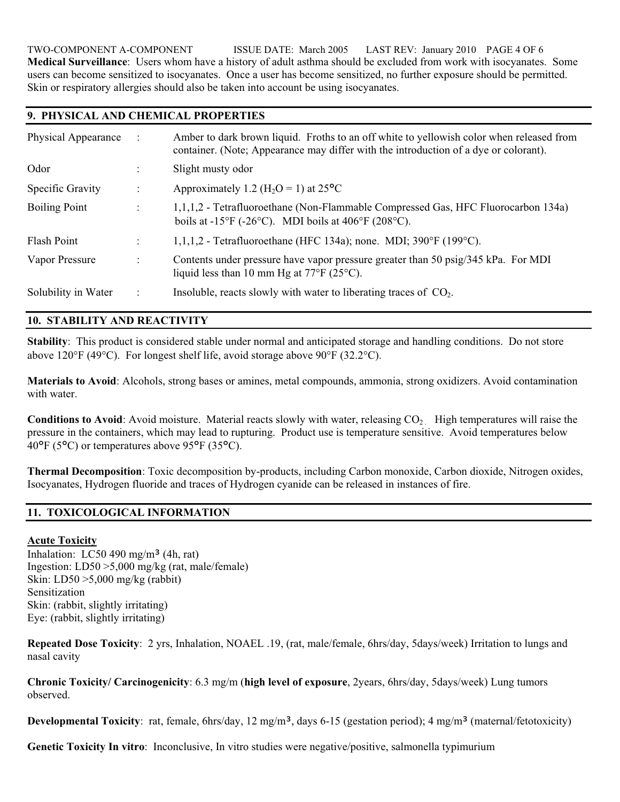TWO-COMPONENT A-COMPONENT ISSUE DATE: March 2005 LAST REV: January 2010 PAGE 4 OF 6 **Medical Surveillance**: Users whom have a history of adult asthma should be excluded from work with isocyanates. Some users can become sensitized to isocyanates. Once a user has become sensitized, no further exposure should be permitted. Skin or respiratory allergies should also be taken into account be using isocyanates.

## **9. PHYSICAL AND CHEMICAL PROPERTIES**

| Physical Appearance  |                      | Amber to dark brown liquid. Froths to an off white to yellowish color when released from<br>container. (Note; Appearance may differ with the introduction of a dye or colorant). |
|----------------------|----------------------|----------------------------------------------------------------------------------------------------------------------------------------------------------------------------------|
| Odor                 |                      | Slight musty odor                                                                                                                                                                |
| Specific Gravity     |                      | Approximately 1.2 ( $H_2O = 1$ ) at 25 <sup>o</sup> C                                                                                                                            |
| <b>Boiling Point</b> | $\bullet$            | 1,1,1,2 - Tetrafluoroethane (Non-Flammable Compressed Gas, HFC Fluorocarbon 134a)<br>boils at $-15^{\circ}F$ ( $-26^{\circ}C$ ). MDI boils at $406^{\circ}F$ ( $208^{\circ}C$ ). |
| Flash Point          |                      | $1,1,1,2$ - Tetrafluoroethane (HFC 134a); none. MDI; 390°F (199°C).                                                                                                              |
| Vapor Pressure       | $\ddot{\phantom{a}}$ | Contents under pressure have vapor pressure greater than 50 psig/345 kPa. For MDI<br>liquid less than 10 mm Hg at $77^{\circ}F$ (25 $^{\circ}C$ ).                               |
| Solubility in Water  |                      | Insoluble, reacts slowly with water to liberating traces of $CO2$ .                                                                                                              |

# **10. STABILITY AND REACTIVITY**

**Stability**: This product is considered stable under normal and anticipated storage and handling conditions. Do not store above 120 $\degree$ F (49 $\degree$ C). For longest shelf life, avoid storage above 90 $\degree$ F (32.2 $\degree$ C).

**Materials to Avoid**: Alcohols, strong bases or amines, metal compounds, ammonia, strong oxidizers. Avoid contamination with water

**Conditions to Avoid:** Avoid moisture. Material reacts slowly with water, releasing CO<sub>2</sub> High temperatures will raise the pressure in the containers, which may lead to rupturing. Product use is temperature sensitive. Avoid temperatures below 40°F (5°C) or temperatures above 95°F (35°C).

**Thermal Decomposition**: Toxic decomposition by-products, including Carbon monoxide, Carbon dioxide, Nitrogen oxides, Isocyanates, Hydrogen fluoride and traces of Hydrogen cyanide can be released in instances of fire.

# **11. TOXICOLOGICAL INFORMATION**

## **Acute Toxicity**

Inhalation:  $LC50$  490 mg/m<sup>3</sup> (4h, rat) Ingestion: LD50 >5,000 mg/kg (rat, male/female) Skin: LD50 >5,000 mg/kg (rabbit) Sensitization Skin: (rabbit, slightly irritating) Eye: (rabbit, slightly irritating)

**Repeated Dose Toxicity**: 2 yrs, Inhalation, NOAEL .19, (rat, male/female, 6hrs/day, 5days/week) Irritation to lungs and nasal cavity

**Chronic Toxicity/ Carcinogenicity**: 6.3 mg/m (**high level of exposure**, 2years, 6hrs/day, 5days/week) Lung tumors observed.

**Developmental Toxicity**: rat, female, 6hrs/day, 12 mg/m<sup>3</sup>, days 6-15 (gestation period); 4 mg/m<sup>3</sup> (maternal/fetotoxicity)

**Genetic Toxicity In vitro**: Inconclusive, In vitro studies were negative/positive, salmonella typimurium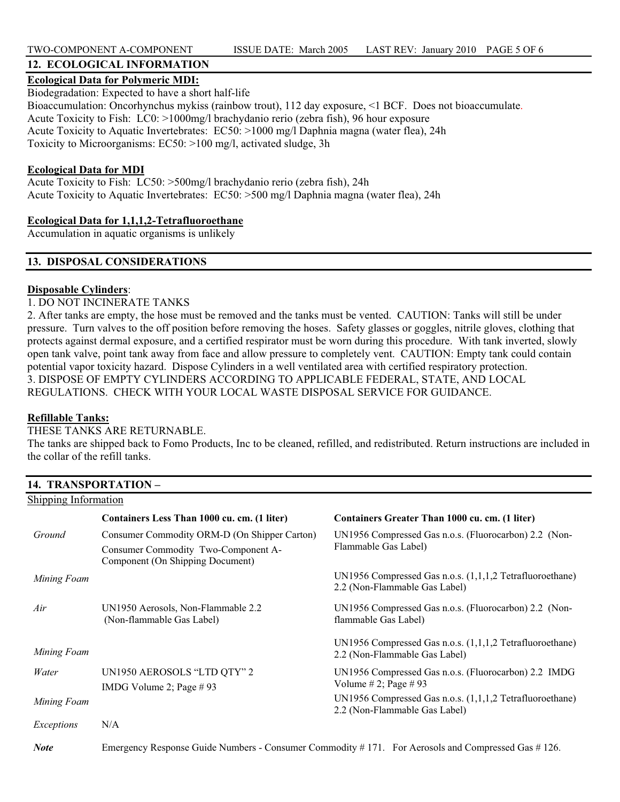# **12. ECOLOGICAL INFORMATION**

## **Ecological Data for Polymeric MDI:**

Biodegradation: Expected to have a short half-life Bioaccumulation: Oncorhynchus mykiss (rainbow trout), 112 day exposure, <1 BCF. Does not bioaccumulate. Acute Toxicity to Fish: LC0: >1000mg/l brachydanio rerio (zebra fish), 96 hour exposure Acute Toxicity to Aquatic Invertebrates: EC50: >1000 mg/l Daphnia magna (water flea), 24h Toxicity to Microorganisms: EC50: >100 mg/l, activated sludge, 3h

### **Ecological Data for MDI**

Acute Toxicity to Fish: LC50: >500mg/l brachydanio rerio (zebra fish), 24h Acute Toxicity to Aquatic Invertebrates: EC50: >500 mg/l Daphnia magna (water flea), 24h

## **Ecological Data for 1,1,1,2-Tetrafluoroethane**

Accumulation in aquatic organisms is unlikely

## **13. DISPOSAL CONSIDERATIONS**

## **Disposable Cylinders**:

## 1. DO NOT INCINERATE TANKS

2. After tanks are empty, the hose must be removed and the tanks must be vented. CAUTION: Tanks will still be under pressure. Turn valves to the off position before removing the hoses. Safety glasses or goggles, nitrile gloves, clothing that protects against dermal exposure, and a certified respirator must be worn during this procedure. With tank inverted, slowly open tank valve, point tank away from face and allow pressure to completely vent. CAUTION: Empty tank could contain potential vapor toxicity hazard. Dispose Cylinders in a well ventilated area with certified respiratory protection. 3. DISPOSE OF EMPTY CYLINDERS ACCORDING TO APPLICABLE FEDERAL, STATE, AND LOCAL REGULATIONS. CHECK WITH YOUR LOCAL WASTE DISPOSAL SERVICE FOR GUIDANCE.

## **Refillable Tanks:**

### THESE TANKS ARE RETURNABLE.

The tanks are shipped back to Fomo Products, Inc to be cleaned, refilled, and redistributed. Return instructions are included in the collar of the refill tanks.

## **14. TRANSPORTATION –**

| Shipping Information |                                                                                                                         |                                                                                                             |
|----------------------|-------------------------------------------------------------------------------------------------------------------------|-------------------------------------------------------------------------------------------------------------|
|                      | Containers Less Than 1000 cu. cm. (1 liter)                                                                             | Containers Greater Than 1000 cu. cm. (1 liter)                                                              |
| Ground               | Consumer Commodity ORM-D (On Shipper Carton)<br>Consumer Commodity Two-Component A-<br>Component (On Shipping Document) | UN1956 Compressed Gas n.o.s. (Fluorocarbon) 2.2 (Non-<br>Flammable Gas Label)                               |
| Mining Foam          |                                                                                                                         | UN1956 Compressed Gas n.o.s. (1,1,1,2 Tetrafluoroethane)<br>2.2 (Non-Flammable Gas Label)                   |
| Air                  | UN1950 Aerosols, Non-Flammable 2.2<br>(Non-flammable Gas Label)                                                         | UN1956 Compressed Gas n.o.s. (Fluorocarbon) 2.2 (Non-<br>flammable Gas Label)                               |
| Mining Foam          |                                                                                                                         | UN1956 Compressed Gas n.o.s. (1,1,1,2 Tetrafluoroethane)<br>2.2 (Non-Flammable Gas Label)                   |
| Water                | UN1950 AEROSOLS "LTD QTY" 2<br>IMDG Volume 2; Page $# 93$                                                               | UN1956 Compressed Gas n.o.s. (Fluorocarbon) 2.2 IMDG<br>Volume # 2; Page # 93                               |
| Mining Foam          |                                                                                                                         | UN1956 Compressed Gas n.o.s. (1,1,1,2 Tetrafluoroethane)<br>2.2 (Non-Flammable Gas Label)                   |
| Exceptions           | N/A                                                                                                                     |                                                                                                             |
| <b>Note</b>          |                                                                                                                         | Emergency Response Guide Numbers - Consumer Commodity $\# 171$ . For Aerosols and Compressed Gas $\# 126$ . |